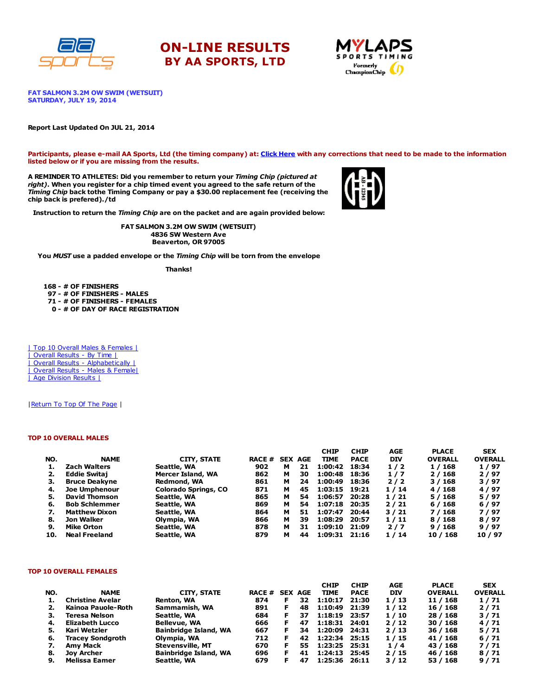





FAT SALMON 3.2M OW SWIM (WETSUIT) SATURDAY, JULY 19, 2014

### Report Last Updated On JUL 21, 2014

Participants, please e-mail AA Sports, Ltd (the timing company) at: Click [Here](http://www.racecenter.com/aa-sports-results-inquiry/) with any corrections that need to be made to the information listed below or if you are missing from the results.

A REMINDER TO ATHLETES: Did you remember to return your Timing Chip (pictured at right). When you register for a chip timed event you agreed to the safe return of the Timing Chip back tothe Timing Company or pay a \$30.00 replacement fee (receiving the chip back is prefered)./td



Instruction to return the Timing Chip are on the packet and are again provided below:

FAT SALMON 3.2M OW SWIM (WETSUIT) 4836 SW Western Ave Beaverton, OR 97005

You MUST use a padded envelope or the Timing Chip will be torn from the envelope

Thanks!

 - # OF FINISHERS - # OF FINISHERS - MALES - # OF FINISHERS - FEMALES - # OF DAY OF RACE REGISTRATION

| Top 10 Overall Males & Females | | Overall Results - By Time | | Overall Results - [Alphabetically](http://www.racecenter.com/results/2014/res_s4al14.htm) | | Overall Results - Males & [Female|](http://www.racecenter.com/results/2014/res_s4og14.htm) | Age [Division](http://www.racecenter.com/results/2014/res_s4ag14.htm) Results |

| Return To Top Of The Page |

### TOP 10 OVERALL MALES

|     |                      |                             |                |   |    | <b>CHIP</b>   | <b>CHIP</b> | <b>AGE</b> | <b>PLACE</b>   | <b>SEX</b>     |
|-----|----------------------|-----------------------------|----------------|---|----|---------------|-------------|------------|----------------|----------------|
| NO. | <b>NAME</b>          | CITY, STATE                 | RACE # SEX AGE |   |    | <b>TIME</b>   | <b>PACE</b> | <b>DIV</b> | <b>OVERALL</b> | <b>OVERALL</b> |
| 1.  | <b>Zach Walters</b>  | Seattle, WA                 | 902            | м | 21 | 1:00:42       | 18:34       | 1/2        | 1 / 168        | 1/97           |
| 2.  | <b>Eddie Switaj</b>  | Mercer Island, WA           | 862            | м | 30 | 1:00:48       | 18:36       | 1/7        | 2/168          | 2/97           |
| з.  | <b>Bruce Deakyne</b> | Redmond, WA                 | 861            | м | 24 | 1:00:49       | 18:36       | 2/2        | 3/168          | 3/97           |
| 4.  | <b>Joe Umphenour</b> | <b>Colorado Springs, CO</b> | 871            | м | 45 | 1:03:15 19:21 |             | 1/14       | 4 / 168        | 4/97           |
| 5.  | <b>David Thomson</b> | Seattle, WA                 | 865            | м | 54 | 1:06:57       | 20:28       | 1/21       | 5/168          | 5/97           |
| 6.  | <b>Bob Schlemmer</b> | Seattle, WA                 | 869            | м | 54 | 1:07:18       | 20:35       | 2/21       | 6/168          | 6/97           |
| 7.  | <b>Matthew Dixon</b> | Seattle, WA                 | 864            | м | 51 | 1:07:47       | 20:44       | 3/21       | 7 / 168        | 7/97           |
| 8.  | Jon Walker           | Olympia, WA                 | 866            | м | 39 | 1:08:29       | 20:57       | 1/11       | 8/168          | 8/97           |
| 9.  | Mike Orton           | Seattle, WA                 | 878            | м | 31 | 1:09:10       | 21:09       | 2/7        | 9/168          | 9/97           |
| 10. | <b>Neal Freeland</b> | Seattle, WA                 | 879            | м | 44 | 1:09:31       | 21:16       | 1/14       | 10 / 168       | 10/97          |

#### TOP 10 OVERALL FEMALES

|     |                         |                              |               |    |                | <b>CHIP</b>   | <b>CHIP</b> | AGE        | <b>PLACE</b>   | <b>SEX</b>     |
|-----|-------------------------|------------------------------|---------------|----|----------------|---------------|-------------|------------|----------------|----------------|
| NO. | <b>NAME</b>             | <b>CITY, STATE</b>           | <b>RACE #</b> |    | <b>SEX AGE</b> | <b>TIME</b>   | <b>PACE</b> | <b>DIV</b> | <b>OVERALL</b> | <b>OVERALL</b> |
|     | <b>Christine Avelar</b> | Renton, WA                   | 874           | F. | 32             | 1:10:17       | 21:30       | 1/13       | 11 / 168       | 1/71           |
|     | Kainoa Pauole-Roth      | Sammamish, WA                | 891           | F. | 48             | 1:10:49 21:39 |             | 1/12       | 16 / 168       | 2/71           |
| з.  | Teresa Nelson           | Seattle, WA                  | 684           | F. | 37             | 1:18:19       | 23:57       | 1/10       | 28 / 168       | 3/71           |
| 4.  | <b>Elizabeth Lucco</b>  | <b>Bellevue, WA</b>          | 666           | F. | 47             | 1:18:31       | 24:01       | 2/12       | 30/168         | 4/71           |
| 5.  | Kari Wetzler            | <b>Bainbridge Island, WA</b> | 667           | F. | 34             | 1:20:09       | 24:31       | 2/13       | 36/168         | 5/71           |
| 6.  | <b>Tracey Sondgroth</b> | Olympia, WA                  | 712           | F  | 42             | 1:22:34       | 25:15       | 1/15       | 41 / 168       | 6/71           |
| 7.  | <b>Amv Mack</b>         | <b>Stevensville, MT</b>      | 670           | F  | 55             | 1:23:25       | 25:31       | 1/4        | 43 / 168       | 7/71           |
| 8.  | Jov Archer              | <b>Bainbridge Island, WA</b> | 696           | F. | 41             | 1:24:13       | 25:45       | 2/15       | 46 / 168       | 8/71           |
| 9.  | Melissa Eamer           | Seattle, WA                  | 679           | F. | 47             | 1:25:36       | 26:11       | 3/12       | 53 / 168       | 9/71           |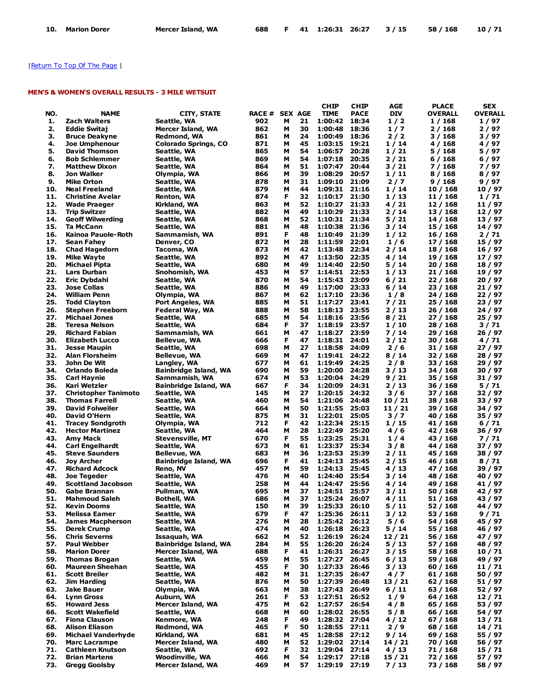# | Return To Top Of The Page |

# MEN'S & WOMEN'S OVERALL RESULTS - 3 MILE WETSUIT

|     |                             |                              |                |   |    | <b>CHIP</b>   | CHIP        | AGE        | <b>PLACE</b>   | SEX            |
|-----|-----------------------------|------------------------------|----------------|---|----|---------------|-------------|------------|----------------|----------------|
| NO. | <b>NAME</b>                 | <b>CITY, STATE</b>           | RACE # SEX AGE |   |    | <b>TIME</b>   | <b>PACE</b> | <b>DIV</b> | <b>OVERALL</b> | <b>OVERALL</b> |
| 1.  | Zach Walters                | Seattle, WA                  | 902            | м | 21 | 1:00:42       | 18:34       | 1/2        | 1 / 168        | 1/97           |
| 2.  | <b>Eddie Switaj</b>         | Mercer Island, WA            | 862            | м | 30 | 1:00:48       | 18:36       | 1/7        | 2 / 168        | 2 / 97         |
| 3.  |                             |                              |                | М | 24 |               | 18:36       |            |                |                |
|     | <b>Bruce Deakyne</b>        | Redmond, WA                  | 861            |   |    | 1:00:49       |             | 2/2        | 3 / 168        | 3 / 97         |
| 4.  | <b>Joe Umphenour</b>        | <b>Colorado Springs, CO</b>  | 871            | М | 45 | 1:03:15       | 19:21       | 1 / 14     | 4 / 168        | 4 / 97         |
| 5.  | <b>David Thomson</b>        | Seattle, WA                  | 865            | М | 54 | 1:06:57 20:28 |             | 1 / 21     | 5 / 168        | 5 / 97         |
| 6.  | <b>Bob Schlemmer</b>        | Seattle, WA                  | 869            | М | 54 | 1:07:18       | 20:35       | 2 / 21     | 6/168          | 6 / 97         |
| 7.  | <b>Matthew Dixon</b>        | Seattle, WA                  | 864            | М | 51 | 1:07:47       | 20:44       | 3 / 21     | 7/168          | 7 / 97         |
| 8.  | Jon Walker                  | Olympia, WA                  | 866            | М | 39 | 1:08:29       | 20:57       | 1/11       | 8 / 168        | 8/97           |
| 9.  | Mike Orton                  | Seattle, WA                  | 878            | м | 31 | 1:09:10       | 21:09       | 2/7        | 9/168          | 9 / 97         |
| 10. | <b>Neal Freeland</b>        |                              | 879            | М | 44 | 1:09:31 21:16 |             | 1 / 14     | 10 / 168       | 10 / 97        |
|     |                             | Seattle, WA                  |                |   |    |               |             |            |                |                |
| 11. | <b>Christine Avelar</b>     | Renton, WA                   | 874            | F | 32 | 1:10:17       | 21:30       | 1 / 13     | 11 / 168       | 1/71           |
| 12. | <b>Wade Praeger</b>         | Kirkland, WA                 | 863            | М | 52 | 1:10:27 21:33 |             | 4/21       | 12 / 168       | 11 / 97        |
| 13. | Trip Switzer                | Seattle, WA                  | 882            | М | 49 | 1:10:29       | 21:33       | 2 / 14     | 13 / 168       | 12 / 97        |
| 14. | <b>Geoff Wilwerding</b>     | Seattle, WA                  | 868            | М | 52 | 1:10:31 21:34 |             | 5 / 21     | 14 / 168       | 13 / 97        |
| 15. | Ta McCann                   | Seattle, WA                  | 881            | М | 48 | 1:10:38       | 21:36       | 3 / 14     | 15 / 168       | 14 / 97        |
| 16. | Kainoa Pauole-Roth          | Sammamish, WA                | 891            | F | 48 | 1:10:49       | 21:39       | 1 / 12     | 16 / 168       | 2/71           |
| 17. | Sean Fahey                  |                              | 872            | М | 28 | 1:11:59       | 22:01       | 1/6        | 17 / 168       | 15 / 97        |
|     |                             | Denver, CO                   |                |   |    |               |             |            |                |                |
| 18. | <b>Chad Hagedorn</b>        | Tacoma, WA                   | 873            | м | 42 | 1:13:48       | 22:34       | 2 / 14     | 18 / 168       | 16 / 97        |
| 19. | <b>Mike Wayte</b>           | Seattle, WA                  | 892            | М | 47 | 1:13:50       | 22:35       | 4 / 14     | 19 / 168       | 17 / 97        |
| 20. | Michael Pipta               | Seattle, WA                  | 680            | М | 49 | 1:14:40       | 22:50       | 5 / 14     | 20 / 168       | 18 / 97        |
| 21. | Lars Durban                 | Snohomish, WA                | 453            | М | 57 | 1:14:51 22:53 |             | 1 / 13     | 21 / 168       | 19 / 97        |
| 22. | <b>Eric Dybdahl</b>         | Seattle, WA                  | 870            | М | 54 | 1:15:43       | 23:09       | 6 / 21     | 22 / 168       | 20 / 97        |
| 23. | Jose Collas                 | Seattle, WA                  | 886            | М | 49 | 1:17:00       | 23:33       | 6 / 14     | 23 / 168       | 21 / 97        |
| 24. | <b>William Penn</b>         | Olympia, WA                  | 867            | м | 62 | 1:17:10 23:36 |             | 1/8        | 24 / 168       | 22 / 97        |
|     |                             |                              |                |   | 51 |               |             |            |                |                |
| 25. | <b>Todd Clayton</b>         | Port Angeles, WA             | 885            | м |    | 1:17:27       | 23:41       | 7 / 21     | 25 / 168       | 23 / 97        |
| 26. | <b>Stephen Freeborn</b>     | Federal Way, WA              | 888            | М | 58 | 1:18:13       | 23:55       | 2/13       | 26 / 168       | 24 / 97        |
| 27. | <b>Michael Jones</b>        | Seattle, WA                  | 685            | М | 54 | 1:18:16 23:56 |             | 8/21       | 27 / 168       | 25 / 97        |
| 28. | <b>Teresa Nelson</b>        | Seattle, WA                  | 684            | F | 37 | 1:18:19 23:57 |             | 1/10       | 28 / 168       | 3/71           |
| 29. | <b>Richard Fabian</b>       | Sammamish, WA                | 661            | М | 47 | 1:18:27 23:59 |             | 7 / 14     | 29 / 168       | 26 / 97        |
| 30. | <b>Elizabeth Lucco</b>      | Bellevue, WA                 | 666            | F | 47 | 1:18:31 24:01 |             | 2 / 12     | 30 / 168       | 4/71           |
| 31. | <b>Jesse Maupin</b>         | Seattle, WA                  | 698            | М | 27 | 1:18:58       | 24:09       | 2/6        | 31 / 168       | 27 / 97        |
|     |                             |                              |                |   |    |               |             |            |                |                |
| 32. | <b>Alan Florsheim</b>       | <b>Bellevue, WA</b>          | 669            | м | 47 | 1:19:41       | 24:22       | 8 / 14     | 32 / 168       | 28 / 97        |
| 33. | John De Wit                 | Langley, WA                  | 677            | м | 61 | 1:19:49       | 24:25       | 2/8        | 33 / 168       | 29 / 97        |
| 34. | Orlando Boleda              | Bainbridge Island, WA        | 690            | М | 59 | 1:20:00       | 24:28       | 3 / 13     | 34 / 168       | 30 / 97        |
| 35. | <b>Carl Haynie</b>          | Sammamish, WA                | 674            | М | 53 | 1:20:04       | 24:29       | 9 / 21     | 35 / 168       | 31 / 97        |
| 36. | Kari Wetzler                | <b>Bainbridge Island, WA</b> | 667            | F | 34 | 1:20:09       | 24:31       | 2 / 13     | 36 / 168       | 5/71           |
| 37. | <b>Christopher Tanimoto</b> | Seattle, WA                  | 145            | М | 27 | 1:20:15 24:32 |             | 3/6        | 37 / 168       | 32 / 97        |
| 38. | <b>Thomas Farrell</b>       | Seattle, WA                  | 460            | М | 54 | 1:21:06       | 24:48       | 10 / 21    | 38 / 168       | 33 / 97        |
|     | <b>David Folweiler</b>      |                              |                |   |    |               |             |            |                |                |
| 39. |                             | Seattle, WA                  | 664            | М | 50 | 1:21:55       | 25:03       | 11 / 21    | 39 / 168       | 34 / 97        |
| 40. | David O'Hern                | Seattle, WA                  | 875            | М | 31 | 1:22:01 25:05 |             | 3/7        | 40 / 168       | 35 / 97        |
| 41. | <b>Tracey Sondgroth</b>     | Olympia, WA                  | 712            | F | 42 | 1:22:34       | 25:15       | 1 / 15     | 41 / 168       | 6/71           |
| 42. | <b>Hector Martinez</b>      | Seattle, WA                  | 464            | М | 28 | 1:22:49 25:20 |             | 4/6        | 42 / 168       | 36 / 97        |
| 43. | Amy Mack                    | <b>Stevensville, MT</b>      | 670            | F | 55 | 1:23:25       | 25:31       | 1/4        | 43 / 168       | 7/71           |
| 44. | <b>Carl Engelhardt</b>      | Seattle, WA                  | 673            | М | 61 | 1:23:37       | 25:34       | 3/8        | 44 / 168       | 37 / 97        |
| 45. | <b>Steve Saunders</b>       | <b>Bellevue, WA</b>          | 683            | М | 36 | 1:23:53       | 25:39       | 2/11       | 45 / 168       | 38 / 97        |
| 46. | Joy Archer                  | <b>Bainbridge Island, WA</b> | 696            | F | 41 | 1:24:13       | 25:45       | 2 / 15     | 46 / 168       | 8/71           |
|     |                             |                              |                |   |    |               |             |            |                |                |
| 47. | <b>Richard Adcock</b>       | Reno, NV                     | 457            | м | 59 | 1:24:13       | 25:45       | 4 / 13     | 47 / 168       | 39 / 97        |
| 48. | <b>Joe Tegeder</b>          | Seattle, WA                  | 476            | м | 40 | 1:24:40       | 25:54       | 3 / 14     | 48 / 168       | 40 / 97        |
| 49. | <b>Scottland Jacobson</b>   | Seattle, WA                  | 258            | М | 44 | 1:24:47       | 25:56       | 4 / 14     | 49 / 168       | 41 / 97        |
| 50. | <b>Gabe Brannan</b>         | Pullman, WA                  | 695            | М | 37 | 1:24:51 25:57 |             | 3 / 11     | 50 / 168       | 42 / 97        |
| 51. | <b>Mahmoud Saleh</b>        | Bothell, WA                  | 686            | M | 37 | 1:25:24       | 26:07       | 4 / 11     | 51 / 168       | 43 / 97        |
| 52. | <b>Kevin Dooms</b>          | Seattle, WA                  | 150            | М | 39 | 1:25:33 26:10 |             | 5/11       | 52 / 168       | 44 / 97        |
| 53. | <b>Melissa Eamer</b>        | Seattle, WA                  | 679            | F | 47 | 1:25:36 26:11 |             | 3 / 12     | 53 / 168       | 9 / 71         |
|     |                             |                              |                |   |    |               |             |            |                |                |
| 54. | <b>James Macpherson</b>     | Seattle, WA                  | 276            | М | 28 | 1:25:42 26:12 |             | 5/6        | 54 / 168       | 45 / 97        |
| 55. | <b>Derek Crump</b>          | Seattle, WA                  | 474            | м | 40 | 1:26:18       | 26:23       | 5/14       | 55 / 168       | 46 / 97        |
| 56. | <b>Chris Severns</b>        | Issaquah, WA                 | 662            | м | 52 | 1:26:19       | 26:24       | 12/21      | 56 / 168       | 47 / 97        |
| 57. | <b>Paul Webber</b>          | <b>Bainbridge Island, WA</b> | 284            | М | 55 | 1:26:20       | 26:24       | 5/13       | 57 / 168       | 48 / 97        |
| 58. | <b>Marion Dorer</b>         | Mercer Island, WA            | 688            | F | 41 | 1:26:31       | 26:27       | 3/15       | 58 / 168       | 10/71          |
| 59. | <b>Thomas Brogan</b>        | Seattle, WA                  | 459            | М | 55 | 1:27:27       | 26:45       | 6/13       | 59 / 168       | 49 / 97        |
| 60. | <b>Maureen Sheehan</b>      | Seattle, WA                  | 455            | F | 30 | 1:27:33       | 26:46       | 3/13       | 60 / 168       | 11 / 71        |
|     |                             |                              |                |   |    |               |             |            |                |                |
| 61. | <b>Scott Breiler</b>        | Seattle, WA                  | 482            | М | 31 | 1:27:35       | 26:47       | 4/7        | 61 / 168       | 50 / 97        |
| 62. | <b>Jim Harding</b>          | Seattle, WA                  | 876            | м | 50 | 1:27:39       | 26:48       | 13 / 21    | 62 / 168       | 51 / 97        |
| 63. | Jake Bauer                  | Olympia, WA                  | 663            | м | 38 | 1:27:43       | 26:49       | 6/11       | 63 / 168       | 52/97          |
| 64. | <b>Lynn Gross</b>           | Auburn, WA                   | 261            | F | 53 | 1:27:51       | 26:52       | 1/9        | 64 / 168       | 12/71          |
| 65. | <b>Howard Jess</b>          | Mercer Island, WA            | 475            | М | 62 | 1:27:57 26:54 |             | 4/8        | 65 / 168       | 53 / 97        |
| 66. | <b>Scott Wakefield</b>      | Seattle, WA                  | 668            | м | 60 | 1:28:02 26:55 |             | 5/8        | 66 / 168       | 54 / 97        |
| 67. | <b>Fiona Clauson</b>        | Kenmore, WA                  | 248            | F | 49 | 1:28:32 27:04 |             | 4 / 12     | 67 / 168       | 13/71          |
|     |                             |                              |                |   |    |               |             |            |                |                |
| 68. | <b>Alison Eliason</b>       | Redmond, WA                  | 465            | F | 50 | 1:28:55 27:11 |             | $2/9$      | 68 / 168       | 14/71          |
| 69. | <b>Michael Vanderhyde</b>   | Kirkland, WA                 | 681            | м | 45 | 1:28:58 27:12 |             | 9 / 14     | 69 / 168       | 55 / 97        |
| 70. | <b>Marc Lacrampe</b>        | Mercer Island, WA            | 480            | м | 52 | 1:29:02 27:14 |             | 14 / 21    | 70 / 168       | 56 / 97        |
| 71. | <b>Cathleen Knutson</b>     | Seattle, WA                  | 692            | F | 32 | 1:29:04 27:14 |             | 4 / 13     | 71 / 168       | 15/71          |
| 72. | <b>Brian Martens</b>        | <b>Woodinville, WA</b>       | 466            | М | 54 | 1:29:17 27:18 |             | 15/21      | 72 / 168       | 57 / 97        |
| 73. | <b>Gregg Goolsby</b>        | Mercer Island, WA            | 469            | м | 57 | 1:29:19 27:19 |             | 7/13       | 73 / 168       | 58 / 97        |
|     |                             |                              |                |   |    |               |             |            |                |                |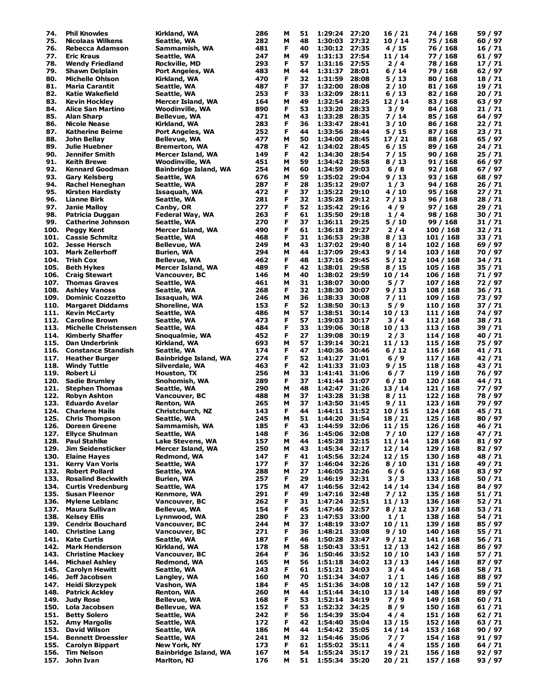| 74.          | <b>Phil Knowles</b>            | Kirkland, WA                                | 286        | М      | 51       | 1:29:24                  | 27:20 | 16/21            | 74 / 168               | 59 / 97          |
|--------------|--------------------------------|---------------------------------------------|------------|--------|----------|--------------------------|-------|------------------|------------------------|------------------|
| 75.          | <b>Nicolaas Wilkens</b>        | Seattle, WA                                 | 282        | М      | 48       | 1:30:03                  | 27:32 | 10/14            | 75 / 168               | 60 / 97          |
|              |                                |                                             |            |        |          |                          |       |                  |                        |                  |
| 76.          | Rebecca Adamson                | Sammamish, WA                               | 481        | F      | 40       | 1:30:12                  | 27:35 | 4/15             | 76 / 168               | 16/71            |
| 77.          | <b>Eric Kraus</b>              | Seattle, WA                                 | 247        | М      | 49       | 1:31:13                  | 27:54 | 11 / 14          | 77 / 168               | 61 / 97          |
| 78.          | <b>Wendy Friedland</b>         | Rockville, MD                               | 293        | F      | 57       | 1:31:16                  | 27:55 | 2/4              | 78 / 168               | 17 / 71          |
| 79.          | Shawn Delplain                 | Port Angeles, WA                            | 483        | М      | 44       | 1:31:37                  | 28:01 | 6 / 14           | 79 / 168               | 62 / 97          |
| 80.          | <b>Michelle Ohlson</b>         | Kirkland, WA                                | 470        | F      | 32       | 1:31:59                  | 28:08 | 5 / 13           | 80 / 168               | 18/71            |
|              |                                |                                             |            |        |          |                          |       |                  |                        |                  |
| 81.          | <b>Maria Carantit</b>          | Seattle, WA                                 | 487        | F      | 37       | 1:32:00                  | 28:08 | 2/10             | 81 / 168               | 19 / 71          |
| 82.          | Katie Wakefield                | Seattle, WA                                 | 253        | F      | 33       | 1:32:09                  | 28:11 | 6/13             | 82 / 168               | 20 / 71          |
| 83.          | <b>Kevin Hockley</b>           | Mercer Island, WA                           | 164        | М      | 49       | 1:32:54                  | 28:25 | 12/14            | 83 / 168               | 63 / 97          |
| 84.          | <b>Alice San Martino</b>       | Woodinville, WA                             | 890        | F      | 53       | 1:33:20                  | 28:33 | 3/9              | 84 / 168               | 21 / 71          |
|              |                                |                                             |            |        |          |                          |       |                  |                        |                  |
| 85.          | <b>Alan Sharp</b>              | Bellevue, WA                                | 471        | М      | 43       | 1:33:28                  | 28:35 | 7/14             | 85 / 168               | 64 / 97          |
| 86.          | <b>Nicole Nease</b>            | Kirkland, WA                                | 283        | F      | 36       | 1:33:47                  | 28:41 | 3/10             | 86 / 168               | 22 / 71          |
| 87.          | <b>Katherine Beirne</b>        | <b>Port Angeles, WA</b>                     | 252        | F      | 44       | 1:33:56                  | 28:44 | 5/15             | 87 / 168               | 23 / 71          |
|              |                                |                                             |            |        |          | 1:34:00                  |       |                  |                        |                  |
| 88.          | John Bellay                    | <b>Bellevue, WA</b>                         | 477        | М      | 50       |                          | 28:45 | 17 / 21          | 88 / 168               | 65 / 97          |
| 89.          | Julie Huebner                  | <b>Bremerton, WA</b>                        | 478        | F      | 42       | 1:34:02                  | 28:45 | 6/15             | 89 / 168               | 24 / 71          |
| 90.          | Jennifer Smith                 | Mercer Island, WA                           | 149        | F      | 42       | 1:34:30                  | 28:54 | 7 / 15           | 90 / 168               | 25/71            |
| 91.          | <b>Keith Brewe</b>             | Woodinville, WA                             | 451        | М      | 59       | 1:34:42                  | 28:58 | 8/13             | 91 / 168               | 66 / 97          |
|              |                                |                                             |            |        |          |                          |       |                  |                        |                  |
| 92.          | <b>Kennard Goodman</b>         | Bainbridge Island, WA                       | 254        | М      | 60       | 1:34:59                  | 29:03 | 6/8              | 92 / 168               | 67 / 97          |
| 93.          | <b>Gary Kelsberg</b>           | Seattle, WA                                 | 676        | М      | 59       | 1:35:02                  | 29:04 | 9 / 13           | 93 / 168               | 68 / 97          |
| 94.          | Rachel Heneghan                | Seattle, WA                                 | 287        | F      | 28       | 1:35:12                  | 29:07 | 1/3              | 94 / 168               | 26 / 71          |
|              |                                |                                             |            |        |          |                          |       |                  |                        |                  |
| 95.          | <b>Kirsten Hardisty</b>        | Issaquah, WA                                | 472        | F      | 37       | 1:35:22                  | 29:10 | 4/10             | 95 / 168               | 27 / 71          |
| 96.          | Lianne Birk                    | Seattle, WA                                 | 281        | F      | 32       | 1:35:28                  | 29:12 | 7 / 13           | 96 / 168               | 28 / 71          |
| 97.          | <b>Janie Malloy</b>            | Canby, OR                                   | 277        | F      | 52       | 1:35:42                  | 29:16 | 4/9              | 97 / 168               | 29 / 71          |
| 98.          | Patricia Duggan                | Federal Way, WA                             | 263        | F      | 61       | 1:35:50                  | 29:18 | 1/4              |                        | 30 / 71          |
|              |                                |                                             |            |        |          |                          |       |                  | 98 / 168               |                  |
| 99.          | <b>Catherine Johnson</b>       | Seattle, WA                                 | 270        | F      | 37       | 1:36:11                  | 29:25 | 5 / 10           | 99 / 168               | 31/71            |
| 100.         | Peggy Kent                     | <b>Mercer Island, WA</b>                    | 490        | F      | 61       | 1:36:18                  | 29:27 | 2/4              | 100 / 168              | 32 / 71          |
| 101.         | <b>Cassie Schmitz</b>          | Seattle, WA                                 | 468        | F      | 31       | 1:36:53                  | 29:38 | 8/13             | 101 / 168              | 33 / 71          |
|              |                                |                                             |            |        |          |                          |       |                  |                        |                  |
| 102.         | <b>Jesse Hersch</b>            | Bellevue, WA                                | 249        | М      | 43       | 1:37:02                  | 29:40 | 8/14             | 102 / 168              | 69 / 97          |
| 103.         | <b>Mark Zellerhoff</b>         | Burien, WA                                  | 294        | М      | 44       | 1:37:09                  | 29:43 | 9/14             | 103 / 168              | 70 / 97          |
| 104.         | Trish Cox                      | <b>Bellevue, WA</b>                         | 462        | F      | 48       | 1:37:16                  | 29:45 | 5/12             | 104 / 168              | 34 / 71          |
|              |                                |                                             |            |        |          |                          |       |                  |                        |                  |
| 105.         | <b>Beth Hykes</b>              | Mercer Island, WA                           | 489        | F      | 42       | 1:38:01                  | 29:58 | 8/15             | 105 / 168              | 35 / 71          |
| 106.         | <b>Craig Stewart</b>           | Vancouver, BC                               | 146        | М      | 40       | 1:38:02                  | 29:59 | 10/14            | 106 / 168              | 71 / 97          |
| 107.         | <b>Thomas Graves</b>           | Seattle, WA                                 | 461        | М      | 31       | 1:38:07                  | 30:00 | 5/7              | 107 / 168              | 72 / 97          |
| 108.         |                                |                                             | 268        | F      | 32       | 1:38:30                  | 30:07 |                  |                        |                  |
|              | <b>Ashley Vanoss</b>           | Seattle, WA                                 |            |        |          |                          |       | 9/13             | 108 / 168              | 36 / 71          |
| 109.         | <b>Dominic Cozzetto</b>        | Issaquah, WA                                | 246        | М      | 36       | 1:38:33                  | 30:08 | 7 / 11           | 109 / 168              | 73 / 97          |
| 110.         | <b>Margaret Diddams</b>        | Shoreline, WA                               | 153        | F      | 52       | 1:38:50                  | 30:13 | 5/9              | 110 / 168              | 37 / 71          |
| 111.         | <b>Kevin McCarty</b>           | Seattle, WA                                 | 486        | М      | 57       | 1:38:51                  | 30:14 | 10/13            | 111 / 168              | 74 / 97          |
|              |                                |                                             |            |        |          |                          |       |                  |                        |                  |
| 112.         | <b>Caroline Brown</b>          | Seattle, WA                                 | 473        | F      | 57       | 1:39:03                  | 30:17 | 3/4              | 112 / 168              | 38 / 71          |
| 113.         | <b>Michelle Christensen</b>    | Seattle, WA                                 | 484        | F      | 33       | 1:39:06                  | 30:18 | 10/13            | 113 / 168              | 39 / 71          |
| 114.         | <b>Kimberly Shaffer</b>        | Snoqualmie, WA                              | 452        | F      | 27       | 1:39:08                  | 30:19 | 2/3              | 114 / 168              | 40 / 71          |
| 115.         | Dan Underbrink                 | Kirkland, WA                                | 693        | М      | 57       | 1:39:14                  | 30:21 | 11 / 13          | 115 / 168              | 75 / 97          |
|              |                                |                                             |            |        |          |                          |       |                  |                        |                  |
| 116.         | <b>Constance Standish</b>      | Seattle, WA                                 | 174        | F      | 47       | 1:40:36                  | 30:46 | 6/12             | 116 / 168              | 41 / 71          |
| 117.         | <b>Heather Burger</b>          | Bainbridge Island, WA                       | 274        | F      | 52       | 1:41:27                  | 31:01 | $6/9$            | 117 / 168              | 42 / 71          |
| 118.         | <b>Windy Tuttle</b>            | Silverdale, WA                              | 463        | F      | 42       | 1:41:33                  | 31:03 | 9 / 15           | 118 / 168              | 43 / 71          |
|              |                                |                                             |            |        |          |                          |       |                  |                        |                  |
| 119.         | Robert Li                      | Houston, TX                                 | 256        | М      | 33       | 1:41:41                  | 31:06 | 6/7              | 119 / 168              | 76 / 97          |
| 120.         | <b>Sadie Brumley</b>           | Snohomish, WA                               | 289        | F      | 37       | 1:41:44                  | 31:07 | 6/10             | 120 / 168              | 44 / 71          |
| 121.         | <b>Stephen Thomas</b>          | Seattle, WA                                 | 290        | М      | 48       | 1:42:47                  | 31:26 | 13 / 14          | 121 / 168              | 77 / 97          |
| 122.         | <b>Robyn Ashton</b>            | Vancouver, BC                               | 488        | М      | 37       | 1:43:28                  | 31:38 | 8/11             | 122 / 168              | 78 / 97          |
|              |                                |                                             |            |        |          |                          |       |                  |                        |                  |
| 123.         | Eduardo Avelar                 | Renton, WA                                  | 265        | М      | 37       | 1:43:50                  | 31:45 | 9/11             | 123 / 168              | 79 / 97          |
| 124.         | <b>Charlene Hails</b>          | Christchurch, NZ                            | 143        | F      | 44       | 1:44:11                  | 31:52 | 10 / 15          | 124 / 168              | 45 / 71          |
|              | 125. Chris Thompson            | Seattle, WA                                 | 245        | М      | 51       | 1:44:20                  | 31:54 | 18 / 21          | 125 / 168              | 80 / 97          |
|              | <b>Doreen Greene</b>           |                                             |            |        |          |                          |       |                  |                        |                  |
| 126.         |                                | Sammamish, WA                               | 185        | F      | 43       | 1:44:59                  | 32:06 | 11 / 15          | 126 / 168              | 46 / 71          |
| 127.         | <b>Ellyce Shulman</b>          | Seattle, WA                                 | 148        | F      | 36       | 1:45:06                  | 32:08 | 7/10             | 127 / 168              | 47 / 71          |
| 128.         | <b>Paul Stahlke</b>            | Lake Stevens, WA                            | 157        | М      | 44       | 1:45:28                  | 32:15 | 11/14            | 128 / 168              | 81 / 97          |
| 129.         | <b>Jim Seidensticker</b>       | <b>Mercer Island, WA</b>                    | 250        | М      | 43       | 1:45:34                  | 32:17 | 12/14            | 129 / 168              | 82/97            |
|              |                                |                                             |            |        |          |                          |       |                  |                        |                  |
| 130.         | <b>Elaine Hayes</b>            | Redmond, WA                                 | 147        | F      | 41       | 1:45:56                  | 32:24 | 12/15            | 130 / 168              | 48 / 71          |
| 131.         | <b>Kerry Van Voris</b>         | Seattle, WA                                 | 177        | F      | 37       | 1:46:04                  | 32:26 | 8/10             | 131 / 168              | 49 / 71          |
| 132.         | <b>Robert Pollard</b>          | Seattle, WA                                 | 288        | М      | 27       | 1:46:05                  | 32:26 | $6/6$            | 132 / 168              | 83 / 97          |
| 133.         | <b>Rosalind Beckwith</b>       | Burien, WA                                  | 257        | F      | 29       | 1:46:19                  | 32:31 | 3/3              | 133 / 168              | 50 / 71          |
|              |                                |                                             |            |        |          |                          |       |                  |                        |                  |
| 134.         | <b>Curtis Vredenburg</b>       | Seattle, WA                                 | 175        | М      | 47       | 1:46:56                  | 32:42 | 14/14            | 134 / 168              | 84 / 97          |
| 135.         | <b>Susan Fleenor</b>           | Kenmore, WA                                 | 291        | F      | 49       | 1:47:16                  | 32:48 | 7/12             | 135 / 168              | 51 / 71          |
| 136.         | <b>Mylene Leblanc</b>          | Vancouver, BC                               | 262        | F      | 31       | 1:47:24                  | 32:51 | 11/13            | 136 / 168              | 52 / 71          |
| 137.         | <b>Maura Sullivan</b>          | Bellevue, WA                                | 154        | F      | 45       | 1:47:46                  | 32:57 | 8/12             | 137 / 168              | 53 / 71          |
|              |                                |                                             |            |        |          |                          |       |                  |                        |                  |
| 138.         | <b>Kelsey Ellis</b>            | Lynnwood, WA                                | 280        | F      | 23       | 1:47:53                  | 33:00 | 1/1              | 138 / 168              | 54 / 71          |
| 139.         | <b>Cendrix Bouchard</b>        | Vancouver, BC                               | 244        | М      | 37       | 1:48:19                  | 33:07 | 10/11            | 139 / 168              | 85 / 97          |
| 140.         | <b>Christine Lang</b>          | Vancouver, BC                               | 271        | F      | 36       | 1:48:21                  | 33:08 | 9/10             | 140 / 168              | 55 / 71          |
|              |                                |                                             |            |        |          |                          |       |                  |                        |                  |
| 141.         | <b>Kate Curtis</b>             | Seattle, WA                                 | 187        | F      | 46       | 1:50:28                  | 33:47 | 9/12             | 141 / 168              | 56 / 71          |
| 142.         | <b>Mark Henderson</b>          | Kirkland, WA                                | 178        | М      | 58       | 1:50:43                  | 33:51 | 12/13            | 142 / 168              | 86 / 97          |
| 143.         | <b>Christine Mackey</b>        | Vancouver, BC                               | 264        | F      | 36       | 1:50:46                  | 33:52 | 10/10            | 143 / 168              | 57 / 71          |
| 144.         | <b>Michael Ashley</b>          | Redmond, WA                                 | 165        | М      | 56       | 1:51:18                  | 34:02 | 13/13            | 144 / 168              | 87 / 97          |
|              |                                |                                             |            |        |          |                          |       |                  |                        |                  |
| 145.         | <b>Carolyn Hewitt</b>          | Seattle, WA                                 | 243        | F      | 61       | 1:51:21 34:03            |       | 3/4              | 145 / 168              | 58 / 71          |
| 146.         | Jeff Jacobsen                  | Langley, WA                                 | 160        | М      | 70       | 1:51:34                  | 34:07 | 1/1              | 146 / 168              | 88 / 97          |
| 147.         | Heidi Skrzypek                 | Vashon, WA                                  | 184        | F      | 45       | 1:51:36                  | 34:08 | 10/12            | 147 / 168              | 59 / 71          |
|              |                                |                                             |            |        |          |                          |       |                  |                        |                  |
| 148.         | <b>Patrick Ackley</b>          | Renton, WA                                  | 260        | М      | 44       | 1:51:44                  | 34:10 | 13/14            | 148 / 168              | 89 / 97          |
| 149.         | <b>Judy Rose</b>               | Bellevue, WA                                | 168        | F      | 53       | 1:52:14                  | 34:19 | 7/9              | 149 / 168              | 60 / 71          |
| 150.         | Lola Jacobsen                  | Bellevue, WA                                | 152        | F      | 53       | 1:52:32                  | 34:25 | 8/9              | 150 / 168              | 61 / 71          |
| 151.         | <b>Betty Solero</b>            | Seattle, WA                                 | 242        | F      | 56       | 1:54:39                  | 35:04 | 4 / 4            | 151 / 168              | 62/71            |
|              |                                |                                             |            |        |          |                          |       |                  |                        |                  |
| 152.         | <b>Amy Margolis</b>            | Seattle, WA                                 | 172        | F      | 42       | 1:54:40                  | 35:04 | 13 / 15          | 152 / 168              | 63/71            |
| 153.         | <b>David Wilson</b>            | Seattle, WA                                 | 186        | М      | 44       | 1:54:42                  | 35:05 | 14/14            | 153 / 168              | 90 / 97          |
|              |                                |                                             |            |        |          |                          |       |                  |                        |                  |
|              |                                |                                             |            |        |          |                          |       |                  |                        |                  |
| 154.         | <b>Bennett Droessler</b>       | Seattle, WA                                 | 241        | М      | 32       | 1:54:46                  | 35:06 | 7/7              | 154 / 168              | 91 / 97          |
| 155.         | <b>Carolyn Bippart</b>         | New York, NY                                | 173        | F      | 61       | 1:55:02                  | 35:11 | 4/4              | 155 / 168              | 64 / 71          |
| 156.<br>157. | <b>Tim Nelson</b><br>John Ivan | <b>Bainbridge Island, WA</b><br>Marlton, NJ | 167<br>176 | М<br>м | 54<br>51 | 1:55:24<br>1:55:34 35:20 | 35:17 | 19 / 21<br>20/21 | 156 / 168<br>157 / 168 | 92/97<br>93 / 97 |